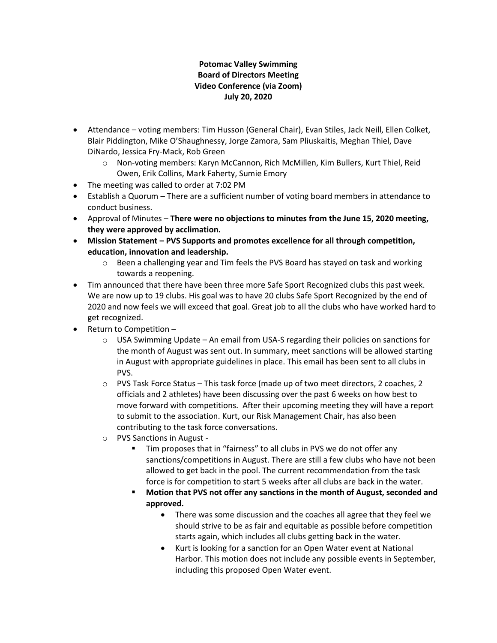## **Potomac Valley Swimming Board of Directors Meeting Video Conference (via Zoom) July 20, 2020**

- Attendance voting members: Tim Husson (General Chair), Evan Stiles, Jack Neill, Ellen Colket, Blair Piddington, Mike O'Shaughnessy, Jorge Zamora, Sam Pliuskaitis, Meghan Thiel, Dave DiNardo, Jessica Fry-Mack, Rob Green
	- o Non-voting members: Karyn McCannon, Rich McMillen, Kim Bullers, Kurt Thiel, Reid Owen, Erik Collins, Mark Faherty, Sumie Emory
- The meeting was called to order at 7:02 PM
- Establish a Quorum There are a sufficient number of voting board members in attendance to conduct business.
- Approval of Minutes **There were no objections to minutes from the June 15, 2020 meeting, they were approved by acclimation.**
- **Mission Statement – PVS Supports and promotes excellence for all through competition, education, innovation and leadership.**
	- $\circ$  Been a challenging year and Tim feels the PVS Board has stayed on task and working towards a reopening.
- Tim announced that there have been three more Safe Sport Recognized clubs this past week. We are now up to 19 clubs. His goal was to have 20 clubs Safe Sport Recognized by the end of 2020 and now feels we will exceed that goal. Great job to all the clubs who have worked hard to get recognized.
- Return to Competition
	- $\circ$  USA Swimming Update An email from USA-S regarding their policies on sanctions for the month of August was sent out. In summary, meet sanctions will be allowed starting in August with appropriate guidelines in place. This email has been sent to all clubs in PVS.
	- o PVS Task Force Status This task force (made up of two meet directors, 2 coaches, 2 officials and 2 athletes) have been discussing over the past 6 weeks on how best to move forward with competitions. After their upcoming meeting they will have a report to submit to the association. Kurt, our Risk Management Chair, has also been contributing to the task force conversations.
	- o PVS Sanctions in August
		- Tim proposes that in "fairness" to all clubs in PVS we do not offer any sanctions/competitions in August. There are still a few clubs who have not been allowed to get back in the pool. The current recommendation from the task force is for competition to start 5 weeks after all clubs are back in the water.
		- **Motion that PVS not offer any sanctions in the month of August, seconded and approved.** 
			- There was some discussion and the coaches all agree that they feel we should strive to be as fair and equitable as possible before competition starts again, which includes all clubs getting back in the water.
			- Kurt is looking for a sanction for an Open Water event at National Harbor. This motion does not include any possible events in September, including this proposed Open Water event.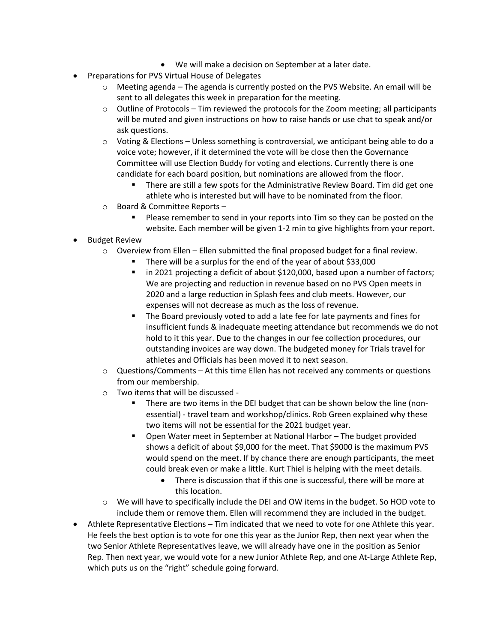- We will make a decision on September at a later date.
- Preparations for PVS Virtual House of Delegates
	- $\circ$  Meeting agenda The agenda is currently posted on the PVS Website. An email will be sent to all delegates this week in preparation for the meeting.
	- $\circ$  Outline of Protocols Tim reviewed the protocols for the Zoom meeting; all participants will be muted and given instructions on how to raise hands or use chat to speak and/or ask questions.
	- $\circ$  Voting & Elections Unless something is controversial, we anticipant being able to do a voice vote; however, if it determined the vote will be close then the Governance Committee will use Election Buddy for voting and elections. Currently there is one candidate for each board position, but nominations are allowed from the floor.
		- **■** There are still a few spots for the Administrative Review Board. Tim did get one athlete who is interested but will have to be nominated from the floor.
	- o Board & Committee Reports
		- Please remember to send in your reports into Tim so they can be posted on the website. Each member will be given 1-2 min to give highlights from your report.
- Budget Review
	- $\circ$  Overview from Ellen Ellen submitted the final proposed budget for a final review.
		- There will be a surplus for the end of the year of about \$33,000
		- in 2021 projecting a deficit of about \$120,000, based upon a number of factors; We are projecting and reduction in revenue based on no PVS Open meets in 2020 and a large reduction in Splash fees and club meets. However, our expenses will not decrease as much as the loss of revenue.
		- The Board previously voted to add a late fee for late payments and fines for insufficient funds & inadequate meeting attendance but recommends we do not hold to it this year. Due to the changes in our fee collection procedures, our outstanding invoices are way down. The budgeted money for Trials travel for athletes and Officials has been moved it to next season.
	- $\circ$  Questions/Comments At this time Ellen has not received any comments or questions from our membership.
	- o Two items that will be discussed
		- There are two items in the DEI budget that can be shown below the line (nonessential) - travel team and workshop/clinics. Rob Green explained why these two items will not be essential for the 2021 budget year.
		- Open Water meet in September at National Harbor The budget provided shows a deficit of about \$9,000 for the meet. That \$9000 is the maximum PVS would spend on the meet. If by chance there are enough participants, the meet could break even or make a little. Kurt Thiel is helping with the meet details.
			- There is discussion that if this one is successful, there will be more at this location.
	- $\circ$  We will have to specifically include the DEI and OW items in the budget. So HOD vote to include them or remove them. Ellen will recommend they are included in the budget.
- Athlete Representative Elections Tim indicated that we need to vote for one Athlete this year. He feels the best option is to vote for one this year as the Junior Rep, then next year when the two Senior Athlete Representatives leave, we will already have one in the position as Senior Rep. Then next year, we would vote for a new Junior Athlete Rep, and one At-Large Athlete Rep, which puts us on the "right" schedule going forward.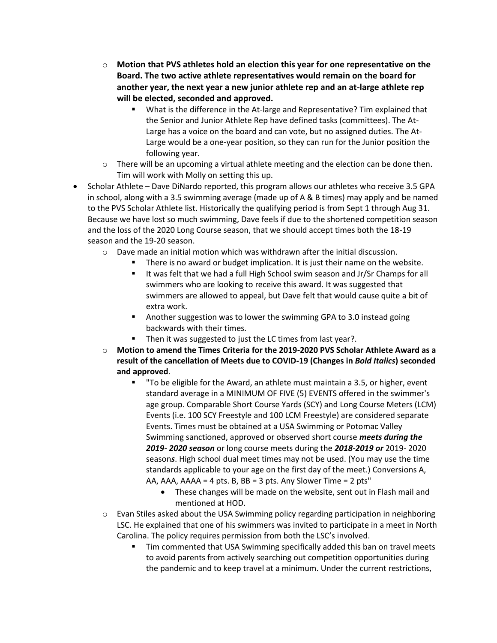- o **Motion that PVS athletes hold an election this year for one representative on the Board. The two active athlete representatives would remain on the board for another year, the next year a new junior athlete rep and an at-large athlete rep will be elected, seconded and approved.** 
	- What is the difference in the At-large and Representative? Tim explained that the Senior and Junior Athlete Rep have defined tasks (committees). The At-Large has a voice on the board and can vote, but no assigned duties. The At-Large would be a one-year position, so they can run for the Junior position the following year.
- $\circ$  There will be an upcoming a virtual athlete meeting and the election can be done then. Tim will work with Molly on setting this up.
- Scholar Athlete Dave DiNardo reported, this program allows our athletes who receive 3.5 GPA in school, along with a 3.5 swimming average (made up of A & B times) may apply and be named to the PVS Scholar Athlete list. Historically the qualifying period is from Sept 1 through Aug 31. Because we have lost so much swimming, Dave feels if due to the shortened competition season and the loss of the 2020 Long Course season, that we should accept times both the 18-19 season and the 19-20 season.
	- $\circ$  Dave made an initial motion which was withdrawn after the initial discussion.
		- There is no award or budget implication. It is just their name on the website.
		- It was felt that we had a full High School swim season and Jr/Sr Champs for all swimmers who are looking to receive this award. It was suggested that swimmers are allowed to appeal, but Dave felt that would cause quite a bit of extra work.
		- Another suggestion was to lower the swimming GPA to 3.0 instead going backwards with their times.
		- Then it was suggested to just the LC times from last year?.
	- o **Motion to amend the Times Criteria for the 2019-2020 PVS Scholar Athlete Award as a result of the cancellation of Meets due to COVID-19 (Changes in** *Bold Italics***) seconded and approved**.
		- To be eligible for the Award, an athlete must maintain a 3.5, or higher, event standard average in a MINIMUM OF FIVE (5) EVENTS offered in the swimmer's age group. Comparable Short Course Yards (SCY) and Long Course Meters (LCM) Events (i.e. 100 SCY Freestyle and 100 LCM Freestyle) are considered separate Events. Times must be obtained at a USA Swimming or Potomac Valley Swimming sanctioned, approved or observed short course *meets during the 2019- 2020 season* or long course meets during the *2018-2019 or* 2019- 2020 season*s*. High school dual meet times may not be used. (You may use the time standards applicable to your age on the first day of the meet.) Conversions A, AA, AAA, AAAA = 4 pts. B, BB = 3 pts. Any Slower Time = 2 pts"
			- These changes will be made on the website, sent out in Flash mail and mentioned at HOD.
	- $\circ$  Evan Stiles asked about the USA Swimming policy regarding participation in neighboring LSC. He explained that one of his swimmers was invited to participate in a meet in North Carolina. The policy requires permission from both the LSC's involved.
		- Tim commented that USA Swimming specifically added this ban on travel meets to avoid parents from actively searching out competition opportunities during the pandemic and to keep travel at a minimum. Under the current restrictions,